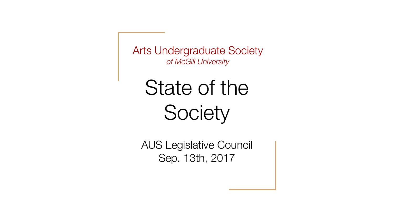Arts Undergraduate Society *of McGill University*

#### State of the **Society**

AUS Legislative Council Sep. 13th, 2017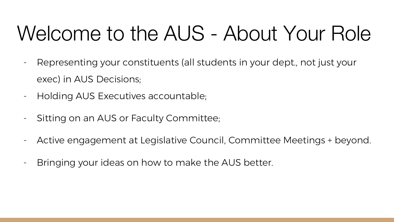#### Welcome to the AUS - About Your Role

- Representing your constituents (all students in your dept., not just your exec) in AUS Decisions;
- Holding AUS Executives accountable;
- Sitting on an AUS or Faculty Committee;
- Active engagement at Legislative Council, Committee Meetings + beyond.
- Bringing your ideas on how to make the AUS better.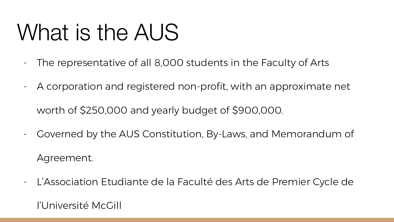## What is the AUS

- The representative of all 8,000 students in the Faculty of Arts
- A corporation and registered non-profit, with an approximate net
	- worth of \$250,000 and yearly budget of \$900,000.
- Governed by the AUS Constitution, By-Laws, and Memorandum of Agreement.
- L'Association Etudiante de la Faculté des Arts de Premier Cycle de

l'Université McGill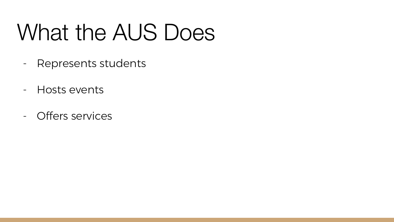## What the AUS Does

- Represents students
- Hosts events
- Offers services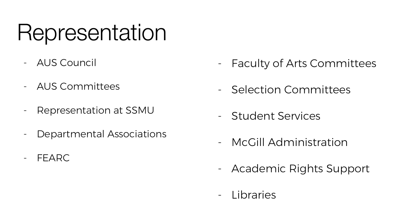#### Representation

- AUS Council
- AUS Committees
- Representation at SSMU
- Departmental Associations
- FEARC
- Faculty of Arts Committees
- Selection Committees
- Student Services
- McGill Administration
- Academic Rights Support
- Libraries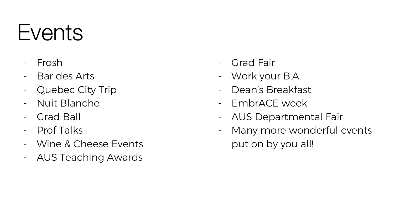#### **Events**

- Frosh
- Bar des Arts
- Quebec City Trip
- Nuit Blanche
- Grad Ball
- Prof Talks
- Wine & Cheese Events
- AUS Teaching Awards
- Grad Fair
- Work your B.A.
- Dean's Breakfast
- EmbrACE week
- AUS Departmental Fair
- Many more wonderful events put on by you all!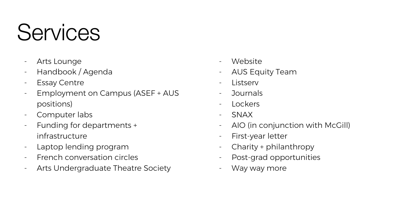#### **Services**

- Arts Lounge
- Handbook / Agenda
- Essay Centre
- Employment on Campus (ASEF + AUS positions)
- Computer labs
- Funding for departments + infrastructure
- Laptop lending program
- French conversation circles
- Arts Undergraduate Theatre Society
- Website
- AUS Equity Team
- Listserv
- Journals
- Lockers
- SNAX
- AIO (in conjunction with McGill)
- First-year letter
- Charity + philanthropy
- Post-grad opportunities
- Way way more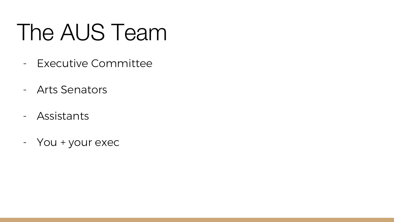## The AUS Team

- Executive Committee
- Arts Senators
- Assistants
- You + your exec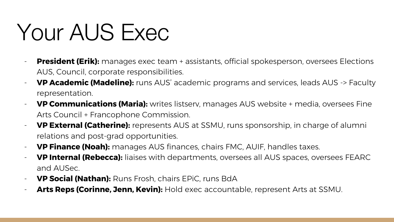## Your AUS Exec

- **President (Erik):** manages exec team + assistants, official spokesperson, oversees Elections AUS, Council, corporate responsibilities.
- **VP Academic (Madeline):** runs AUS' academic programs and services, leads AUS -> Faculty representation.
- **VP Communications (Maria):** writes listserv, manages AUS website + media, oversees Fine Arts Council + Francophone Commission.
- **VP External (Catherine):** represents AUS at SSMU, runs sponsorship, in charge of alumni relations and post-grad opportunities.
- **VP Finance (Noah):** manages AUS finances, chairs FMC, AUIF, handles taxes.
- **VP Internal (Rebecca):** liaises with departments, oversees all AUS spaces, oversees FEARC and AUSec.
- **VP Social (Nathan):** Runs Frosh, chairs EPiC, runs BdA
- Arts Reps (Corinne, Jenn, Kevin): Hold exec accountable, represent Arts at SSMU.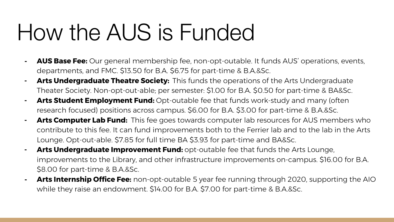### How the AUS is Funded

- **- AUS Base Fee:** Our general membership fee, non-opt-outable. It funds AUS' operations, events, departments, and FMC. \$13.50 for B.A. \$6.75 for part-time & B.A.&Sc.
- **- Arts Undergraduate Theatre Society:** This funds the operations of the Arts Undergraduate Theater Society. Non-opt-out-able; per semester: \$1.00 for B.A. \$0.50 for part-time & BA&Sc.
- **Arts Student Employment Fund:** Opt-outable fee that funds work-study and many (often research focused) positions across campus. \$6.00 for B.A. \$3.00 for part-time & B.A.&Sc.
- **- Arts Computer Lab Fund:** This fee goes towards computer lab resources for AUS members who contribute to this fee. It can fund improvements both to the Ferrier lab and to the lab in the Arts Lounge. Opt-out-able. \$7.85 for full time BA \$3.93 for part-time and BA&Sc.
- **- Arts Undergraduate Improvement Fund:** opt-outable fee that funds the Arts Lounge, improvements to the Library, and other infrastructure improvements on-campus. \$16.00 for B.A. \$8.00 for part-time & B.A.&Sc.
- **Arts Internship Office Fee:** non-opt-outable 5 year fee running through 2020, supporting the AIO while they raise an endowment. \$14.00 for B.A. \$7.00 for part-time & B.A.&Sc.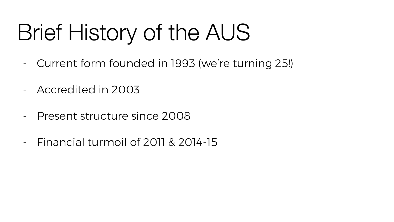# Brief History of the AUS

- Current form founded in 1993 (we're turning 25!)
- Accredited in 2003
- Present structure since 2008
- Financial turmoil of 2011 & 2014-15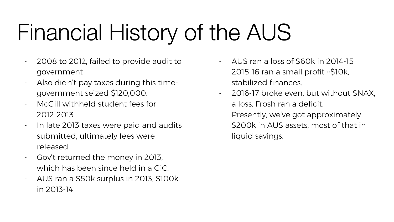# Financial History of the AUS

- 2008 to 2012, failed to provide audit to government
- Also didn't pay taxes during this timegovernment seized \$120,000.
- McGill withheld student fees for 2012-2013
- In late 2013 taxes were paid and audits submitted, ultimately fees were released.
- Gov't returned the money in 2013, which has been since held in a GiC.
- AUS ran a \$50k surplus in 2013, \$100k in 2013-14
- AUS ran a loss of \$60k in 2014-15
- 2015-16 ran a small profit ~\$10k, stabilized finances.
- 2016-17 broke even, but without SNAX, a loss. Frosh ran a deficit.
- Presently, we've got approximately \$200k in AUS assets, most of that in liquid savings.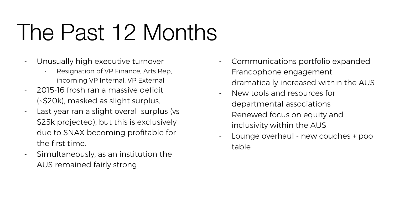# The Past 12 Months

- Unusually high executive turnover
	- Resignation of VP Finance, Arts Rep, incoming VP Internal, VP External
- 2015-16 frosh ran a massive deficit (~\$20k), masked as slight surplus.
- Last year ran a slight overall surplus (vs \$25k projected), but this is exclusively due to SNAX becoming profitable for the first time.
- Simultaneously, as an institution the AUS remained fairly strong
- Communications portfolio expanded
- Francophone engagement dramatically increased within the AUS
- New tools and resources for departmental associations
- Renewed focus on equity and inclusivity within the AUS
- Lounge overhaul new couches + pool table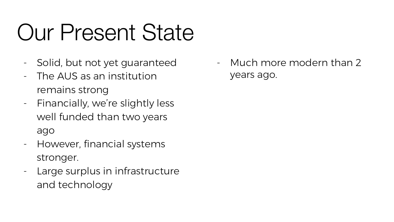# Our Present State

- Solid, but not yet guaranteed
- The AUS as an institution remains strong
- Financially, we're slightly less well funded than two years ago
- However, financial systems stronger.
- Large surplus in infrastructure and technology

- Much more modern than 2 years ago.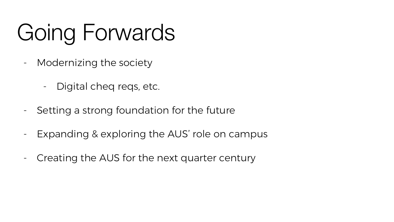# Going Forwards

- Modernizing the society
	- Digital cheq reqs, etc.
- Setting a strong foundation for the future
- Expanding & exploring the AUS' role on campus
- Creating the AUS for the next quarter century